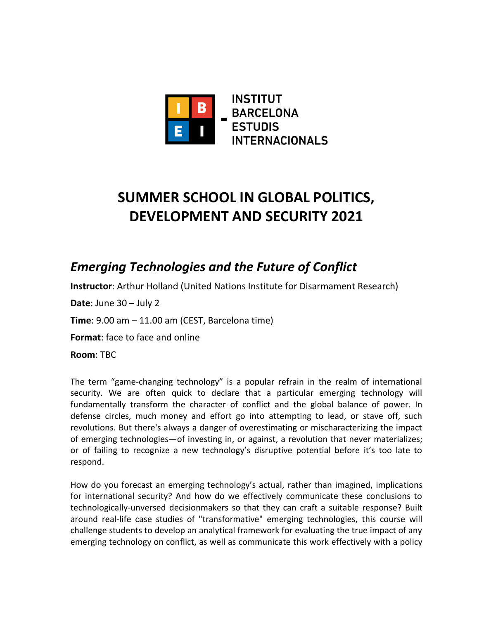

# **SUMMER SCHOOL IN GLOBAL POLITICS, DEVELOPMENT AND SECURITY 2021**

# *Emerging Technologies and the Future of Conflict*

**Instructor**: Arthur Holland (United Nations Institute for Disarmament Research)

**Date**: June 30 – July 2

**Time**: 9.00 am – 11.00 am (CEST, Barcelona time)

**Format**: face to face and online

**Room**: TBC

The term "game-changing technology" is a popular refrain in the realm of international security. We are often quick to declare that a particular emerging technology will fundamentally transform the character of conflict and the global balance of power. In defense circles, much money and effort go into attempting to lead, or stave off, such revolutions. But there's always a danger of overestimating or mischaracterizing the impact of emerging technologies—of investing in, or against, a revolution that never materializes; or of failing to recognize a new technology's disruptive potential before it's too late to respond.

How do you forecast an emerging technology's actual, rather than imagined, implications for international security? And how do we effectively communicate these conclusions to technologically-unversed decisionmakers so that they can craft a suitable response? Built around real-life case studies of "transformative" emerging technologies, this course will challenge students to develop an analytical framework for evaluating the true impact of any emerging technology on conflict, as well as communicate this work effectively with a policy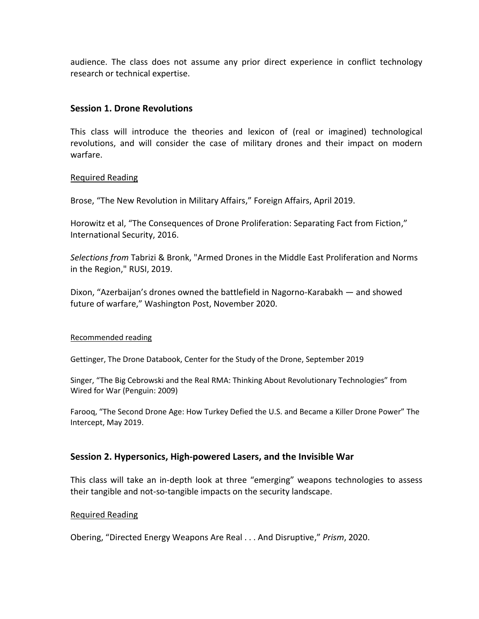audience. The class does not assume any prior direct experience in conflict technology research or technical expertise.

# **Session 1. Drone Revolutions**

This class will introduce the theories and lexicon of (real or imagined) technological revolutions, and will consider the case of military drones and their impact on modern warfare.

# Required Reading

Brose, "The New Revolution in Military Affairs," Foreign Affairs, April 2019.

Horowitz et al, "The Consequences of Drone Proliferation: Separating Fact from Fiction," International Security, 2016.

*Selections from* Tabrizi & Bronk, "Armed Drones in the Middle East Proliferation and Norms in the Region," RUSI, 2019.

Dixon, "Azerbaijan's drones owned the battlefield in Nagorno-Karabakh — and showed future of warfare," Washington Post, November 2020.

#### Recommended reading

Gettinger, The Drone Databook, Center for the Study of the Drone, September 2019

Singer, "The Big Cebrowski and the Real RMA: Thinking About Revolutionary Technologies" from Wired for War (Penguin: 2009)

Farooq, "The Second Drone Age: How Turkey Defied the U.S. and Became a Killer Drone Power" The Intercept, May 2019.

# **Session 2. Hypersonics, High-powered Lasers, and the Invisible War**

This class will take an in-depth look at three "emerging" weapons technologies to assess their tangible and not-so-tangible impacts on the security landscape.

# Required Reading

Obering, "Directed Energy Weapons Are Real . . . And Disruptive," *Prism*, 2020.